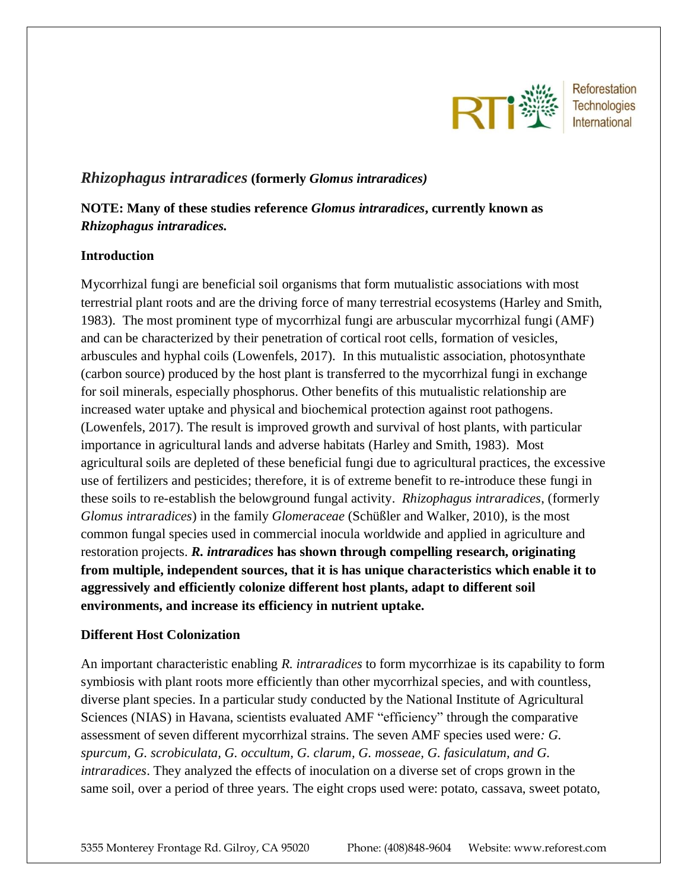

Reforestation **Technologies** International

# *Rhizophagus intraradices* **(formerly** *Glomus intraradices)*

# **NOTE: Many of these studies reference** *Glomus intraradices***, currently known as**  *Rhizophagus intraradices.*

## **Introduction**

Mycorrhizal fungi are beneficial soil organisms that form mutualistic associations with most terrestrial plant roots and are the driving force of many terrestrial ecosystems (Harley and Smith, 1983). The most prominent type of mycorrhizal fungi are arbuscular mycorrhizal fungi (AMF) and can be characterized by their penetration of cortical root cells, formation of vesicles, arbuscules and hyphal coils (Lowenfels, 2017). In this mutualistic association, photosynthate (carbon source) produced by the host plant is transferred to the mycorrhizal fungi in exchange for soil minerals, especially phosphorus. Other benefits of this mutualistic relationship are increased water uptake and physical and biochemical protection against root pathogens. (Lowenfels, 2017). The result is improved growth and survival of host plants, with particular importance in agricultural lands and adverse habitats (Harley and Smith, 1983). Most agricultural soils are depleted of these beneficial fungi due to agricultural practices, the excessive use of fertilizers and pesticides; therefore, it is of extreme benefit to re-introduce these fungi in these soils to re-establish the belowground fungal activity. *Rhizophagus intraradices*, (formerly *Glomus intraradices*) in the family *Glomeraceae* (Schüßler and Walker, 2010), is the most common fungal species used in commercial inocula worldwide and applied in agriculture and restoration projects. *R. intraradices* **has shown through compelling research, originating from multiple, independent sources, that it is has unique characteristics which enable it to aggressively and efficiently colonize different host plants, adapt to different soil environments, and increase its efficiency in nutrient uptake.** 

# **Different Host Colonization**

An important characteristic enabling *R. intraradices* to form mycorrhizae is its capability to form symbiosis with plant roots more efficiently than other mycorrhizal species, and with countless, diverse plant species. In a particular study conducted by the National Institute of Agricultural Sciences (NIAS) in Havana, scientists evaluated AMF "efficiency" through the comparative assessment of seven different mycorrhizal strains. The seven AMF species used were*: G. spurcum, G. scrobiculata, G. occultum, G. clarum, G. mosseae, G. fasiculatum, and G. intraradices*. They analyzed the effects of inoculation on a diverse set of crops grown in the same soil, over a period of three years. The eight crops used were: potato, cassava, sweet potato,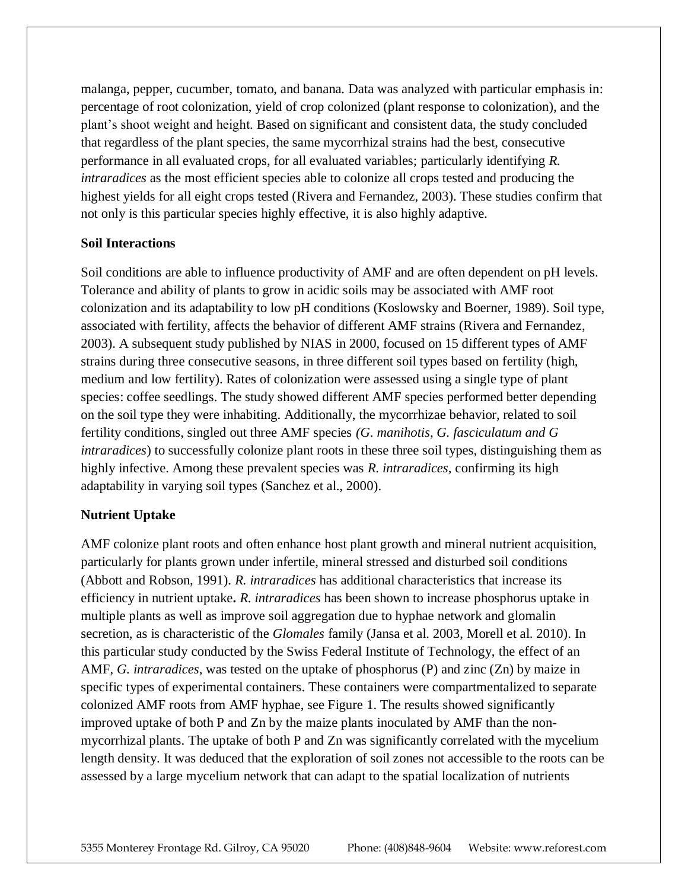malanga, pepper, cucumber, tomato, and banana. Data was analyzed with particular emphasis in: percentage of root colonization, yield of crop colonized (plant response to colonization), and the plant's shoot weight and height. Based on significant and consistent data, the study concluded that regardless of the plant species, the same mycorrhizal strains had the best, consecutive performance in all evaluated crops, for all evaluated variables; particularly identifying *R. intraradices* as the most efficient species able to colonize all crops tested and producing the highest yields for all eight crops tested (Rivera and Fernandez, 2003). These studies confirm that not only is this particular species highly effective, it is also highly adaptive.

#### **Soil Interactions**

Soil conditions are able to influence productivity of AMF and are often dependent on pH levels. Tolerance and ability of plants to grow in acidic soils may be associated with AMF root colonization and its adaptability to low pH conditions (Koslowsky and Boerner, 1989). Soil type, associated with fertility, affects the behavior of different AMF strains (Rivera and Fernandez, 2003). A subsequent study published by NIAS in 2000, focused on 15 different types of AMF strains during three consecutive seasons, in three different soil types based on fertility (high, medium and low fertility). Rates of colonization were assessed using a single type of plant species: coffee seedlings. The study showed different AMF species performed better depending on the soil type they were inhabiting. Additionally, the mycorrhizae behavior, related to soil fertility conditions, singled out three AMF species *(G. manihotis, G. fasciculatum and G intraradices*) to successfully colonize plant roots in these three soil types, distinguishing them as highly infective. Among these prevalent species was *R. intraradices,* confirming its high adaptability in varying soil types (Sanchez et al., 2000).

#### **Nutrient Uptake**

AMF colonize plant roots and often enhance host plant growth and mineral nutrient acquisition, particularly for plants grown under infertile, mineral stressed and disturbed soil conditions (Abbott and Robson, 1991). *R. intraradices* has additional characteristics that increase its efficiency in nutrient uptake**.** *R. intraradices* has been shown to increase phosphorus uptake in multiple plants as well as improve soil aggregation due to hyphae network and glomalin secretion, as is characteristic of the *Glomales* family (Jansa et al. 2003, Morell et al. 2010). In this particular study conducted by the Swiss Federal Institute of Technology, the effect of an AMF, *G. intraradices*, was tested on the uptake of phosphorus (P) and zinc (Zn) by maize in specific types of experimental containers. These containers were compartmentalized to separate colonized AMF roots from AMF hyphae, see Figure 1. The results showed significantly improved uptake of both P and Zn by the maize plants inoculated by AMF than the nonmycorrhizal plants. The uptake of both P and Zn was significantly correlated with the mycelium length density. It was deduced that the exploration of soil zones not accessible to the roots can be assessed by a large mycelium network that can adapt to the spatial localization of nutrients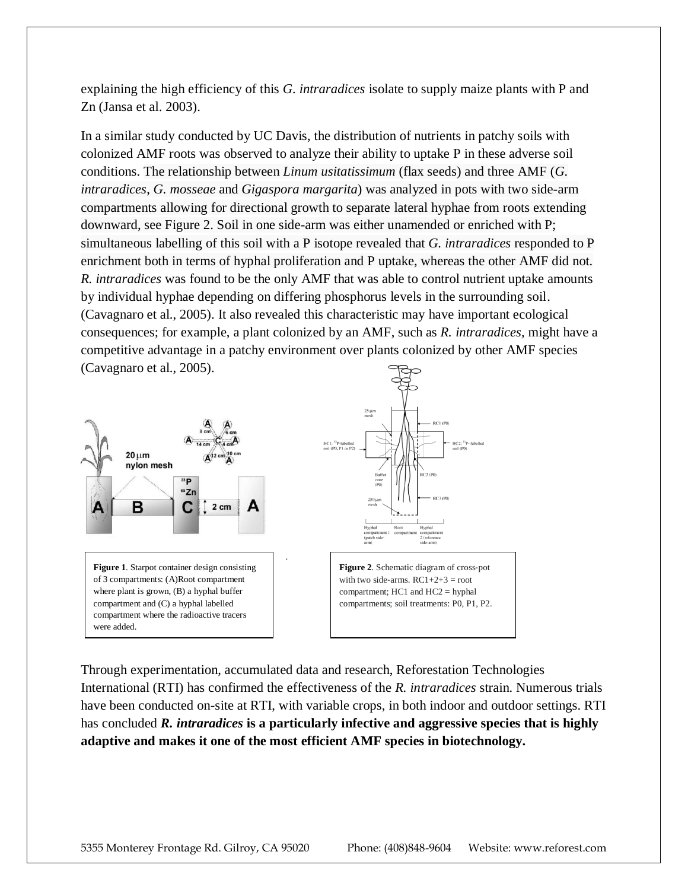explaining the high efficiency of this *G. intraradices* isolate to supply maize plants with P and Zn (Jansa et al. 2003).

In a similar study conducted by UC Davis, the distribution of nutrients in patchy soils with colonized AMF roots was observed to analyze their ability to uptake P in these adverse soil conditions. The relationship between *Linum usitatissimum* (flax seeds) and three AMF (*G. intraradices*, *G. mosseae* and *Gigaspora margarita*) was analyzed in pots with two side-arm compartments allowing for directional growth to separate lateral hyphae from roots extending downward, see Figure 2. Soil in one side-arm was either unamended or enriched with P; simultaneous labelling of this soil with a P isotope revealed that *G. intraradices* responded to P enrichment both in terms of hyphal proliferation and P uptake, whereas the other AMF did not. *R. intraradices* was found to be the only AMF that was able to control nutrient uptake amounts by individual hyphae depending on differing phosphorus levels in the surrounding soil. (Cavagnaro et al., 2005). It also revealed this characteristic may have important ecological consequences; for example, a plant colonized by an AMF, such as *R. intraradices,* might have a competitive advantage in a patchy environment over plants colonized by other AMF species (Cavagnaro et al., 2005).



**Figure 1**. Starpot container design consisting of 3 compartments: (A)Root compartment where plant is grown, (B) a hyphal buffer compartment and (C) a hyphal labelled compartment where the radioactive tracers were added.



**Figure 2**. Schematic diagram of cross‐pot with two side-arms.  $RC1+2+3 = root$ compartment; HC1 and HC2 = hyphal compartments; soil treatments: P0, P1, P2.

Through experimentation, accumulated data and research, Reforestation Technologies International (RTI) has confirmed the effectiveness of the *R. intraradices* strain. Numerous trials have been conducted on-site at RTI, with variable crops, in both indoor and outdoor settings. RTI has concluded *R. intraradices* **is a particularly infective and aggressive species that is highly adaptive and makes it one of the most efficient AMF species in biotechnology.** 

.